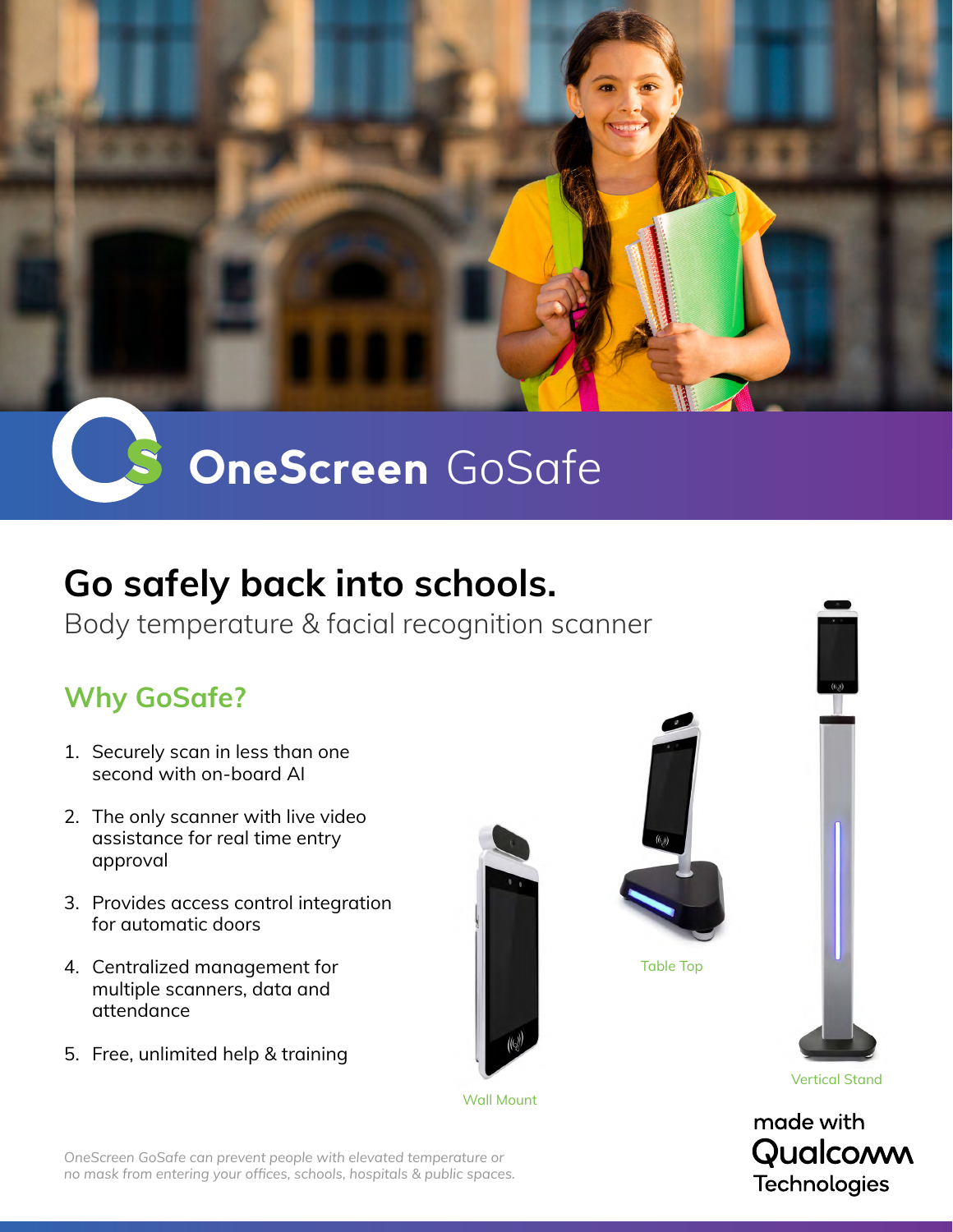

# **OneScreen** GoSafe

## **Go safely back into schools.**

Body temperature & facial recognition scanner

### **Why GoSafe?**

- 1. Securely scan in less than one second with on-board AI
- 2. The only scanner with live video assistance for real time entry approval
- 3. Provides access control integration for automatic doors
- 4. Centralized management for multiple scanners, data and attendance
- 5. Free, unlimited help & training









Vertical Stand



*OneScreen GoSafe can prevent people with elevated temperature or no mask from entering your offices, schools, hospitals & public spaces.*